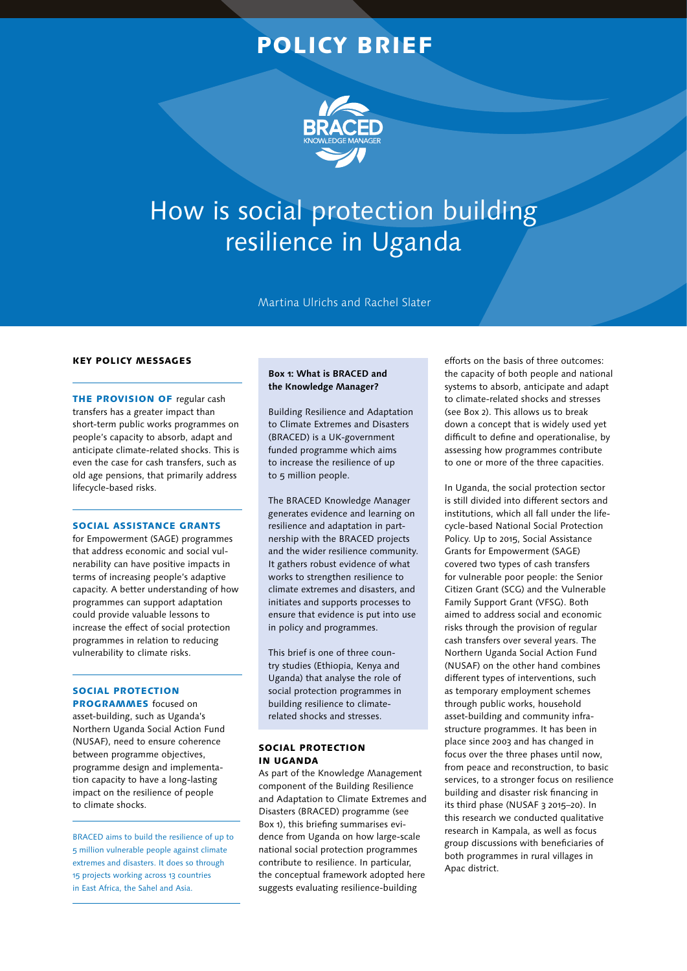# POLICY BRIEF



# How is social protection building resilience in Uganda

Martina Ulrichs and Rachel Slater

#### KEY POLICY MESSAGES

THE PROVISION OF regular cash transfers has a greater impact than short-term public works programmes on people's capacity to absorb, adapt and anticipate climate-related shocks. This is even the case for cash transfers, such as old age pensions, that primarily address lifecycle-based risks.

#### SOCIAL ASSISTANCE GRANTS

for Empowerment (SAGE) programmes that address economic and social vulnerability can have positive impacts in terms of increasing people's adaptive capacity. A better understanding of how programmes can support adaptation could provide valuable lessons to increase the effect of social protection programmes in relation to reducing vulnerability to climate risks.

# SOCIAL PROTECTION

PROGRAMMES focused on asset-building, such as Uganda's Northern Uganda Social Action Fund (NUSAF), need to ensure coherence between programme objectives, programme design and implementation capacity to have a long-lasting impact on the resilience of people to climate shocks.

BRACED aims to build the resilience of up to 5 million vulnerable people against climate extremes and disasters. It does so through 15 projects working across 13 countries in East Africa, the Sahel and Asia.

### **Box 1: What is BRACED and the Knowledge Manager?**

Building Resilience and Adaptation to Climate Extremes and Disasters (BRACED) is a UK-government funded programme which aims to increase the resilience of up to 5 million people.

The BRACED Knowledge Manager generates evidence and learning on resilience and adaptation in partnership with the BRACED projects and the wider resilience community. It gathers robust evidence of what works to strengthen resilience to climate extremes and disasters, and initiates and supports processes to ensure that evidence is put into use in policy and programmes.

This brief is one of three country studies (Ethiopia, Kenya and Uganda) that analyse the role of social protection programmes in building resilience to climaterelated shocks and stresses.

#### SOCIAL PROTECTION IN UGANDA

As part of the Knowledge Management component of the Building Resilience and Adaptation to Climate Extremes and Disasters (BRACED) programme (see Box 1), this briefing summarises evidence from Uganda on how large-scale national social protection programmes contribute to resilience. In particular, the conceptual framework adopted here suggests evaluating resilience-building

efforts on the basis of three outcomes: the capacity of both people and national systems to absorb, anticipate and adapt to climate-related shocks and stresses (see Box 2). This allows us to break down a concept that is widely used yet difficult to define and operationalise, by assessing how programmes contribute to one or more of the three capacities.

In Uganda, the social protection sector is still divided into different sectors and institutions, which all fall under the lifecycle-based National Social Protection Policy. Up to 2015, Social Assistance Grants for Empowerment (SAGE) covered two types of cash transfers for vulnerable poor people: the Senior Citizen Grant (SCG) and the Vulnerable Family Support Grant (VFSG). Both aimed to address social and economic risks through the provision of regular cash transfers over several years. The Northern Uganda Social Action Fund (NUSAF) on the other hand combines different types of interventions, such as temporary employment schemes through public works, household asset-building and community infrastructure programmes. It has been in place since 2003 and has changed in focus over the three phases until now, from peace and reconstruction, to basic services, to a stronger focus on resilience building and disaster risk financing in its third phase (NUSAF 3 2015–20). In this research we conducted qualitative research in Kampala, as well as focus group discussions with beneficiaries of both programmes in rural villages in Apac district.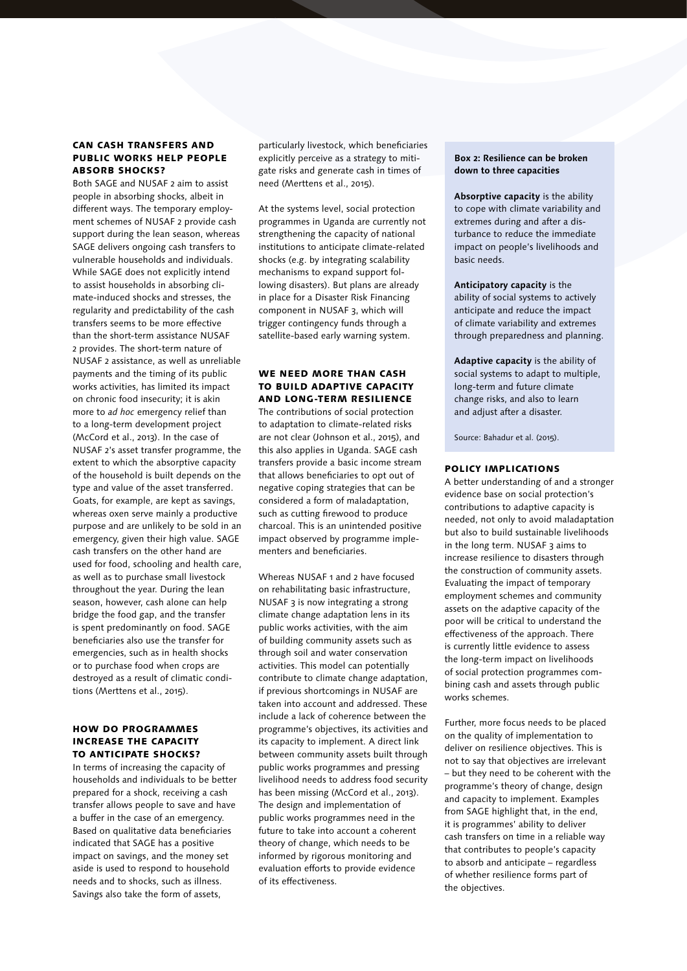#### CAN CASH TRANSFERS AND PUBLIC WORKS HELP PEOPLE ABSORB SHOCKS?

Both SAGE and NUSAF 2 aim to assist people in absorbing shocks, albeit in different ways. The temporary employment schemes of NUSAF 2 provide cash support during the lean season, whereas SAGE delivers ongoing cash transfers to vulnerable households and individuals. While SAGE does not explicitly intend to assist households in absorbing climate-induced shocks and stresses, the regularity and predictability of the cash transfers seems to be more effective than the short-term assistance NUSAF 2 provides. The short-term nature of NUSAF 2 assistance, as well as unreliable payments and the timing of its public works activities, has limited its impact on chronic food insecurity; it is akin more to *ad hoc* emergency relief than to a long-term development project (McCord et al., 2013). In the case of NUSAF 2's asset transfer programme, the extent to which the absorptive capacity of the household is built depends on the type and value of the asset transferred. Goats, for example, are kept as savings, whereas oxen serve mainly a productive purpose and are unlikely to be sold in an emergency, given their high value. SAGE cash transfers on the other hand are used for food, schooling and health care, as well as to purchase small livestock throughout the year. During the lean season, however, cash alone can help bridge the food gap, and the transfer is spent predominantly on food. SAGE beneficiaries also use the transfer for emergencies, such as in health shocks or to purchase food when crops are destroyed as a result of climatic conditions (Merttens et al., 2015).

#### HOW DO PROGRAMMES INCREASE THE CAPACITY TO ANTICIPATE SHOCKS?

In terms of increasing the capacity of households and individuals to be better prepared for a shock, receiving a cash transfer allows people to save and have a buffer in the case of an emergency. Based on qualitative data beneficiaries indicated that SAGE has a positive impact on savings, and the money set aside is used to respond to household needs and to shocks, such as illness. Savings also take the form of assets,

particularly livestock, which beneficiaries explicitly perceive as a strategy to mitigate risks and generate cash in times of need (Merttens et al., 2015).

At the systems level, social protection programmes in Uganda are currently not strengthening the capacity of national institutions to anticipate climate-related shocks (e.g. by integrating scalability mechanisms to expand support following disasters). But plans are already in place for a Disaster Risk Financing component in NUSAF 3, which will trigger contingency funds through a satellite-based early warning system.

#### WE NEED MORE THAN CASH TO BUILD ADAPTIVE CAPACITY AND LONG-TERM RESILIENCE

The contributions of social protection to adaptation to climate-related risks are not clear (Johnson et al., 2015), and this also applies in Uganda. SAGE cash transfers provide a basic income stream that allows beneficiaries to opt out of negative coping strategies that can be considered a form of maladaptation, such as cutting firewood to produce charcoal. This is an unintended positive impact observed by programme implementers and beneficiaries.

Whereas NUSAF 1 and 2 have focused on rehabilitating basic infrastructure, NUSAF 3 is now integrating a strong climate change adaptation lens in its public works activities, with the aim of building community assets such as through soil and water conservation activities. This model can potentially contribute to climate change adaptation, if previous shortcomings in NUSAF are taken into account and addressed. These include a lack of coherence between the programme's objectives, its activities and its capacity to implement. A direct link between community assets built through public works programmes and pressing livelihood needs to address food security has been missing (McCord et al., 2013). The design and implementation of public works programmes need in the future to take into account a coherent theory of change, which needs to be informed by rigorous monitoring and evaluation efforts to provide evidence of its effectiveness.

#### **Box 2: Resilience can be broken down to three capacities**

**Absorptive capacity** is the ability to cope with climate variability and extremes during and after a disturbance to reduce the immediate impact on people's livelihoods and basic needs.

**Anticipatory capacity** is the ability of social systems to actively anticipate and reduce the impact of climate variability and extremes through preparedness and planning.

**Adaptive capacity** is the ability of social systems to adapt to multiple, long-term and future climate change risks, and also to learn and adjust after a disaster.

Source: Bahadur et al. (2015).

#### POLICY IMPLICATIONS

A better understanding of and a stronger evidence base on social protection's contributions to adaptive capacity is needed, not only to avoid maladaptation but also to build sustainable livelihoods in the long term. NUSAF 3 aims to increase resilience to disasters through the construction of community assets. Evaluating the impact of temporary employment schemes and community assets on the adaptive capacity of the poor will be critical to understand the effectiveness of the approach. There is currently little evidence to assess the long-term impact on livelihoods of social protection programmes combining cash and assets through public works schemes.

Further, more focus needs to be placed on the quality of implementation to deliver on resilience objectives. This is not to say that objectives are irrelevant – but they need to be coherent with the programme's theory of change, design and capacity to implement. Examples from SAGE highlight that, in the end, it is programmes' ability to deliver cash transfers on time in a reliable way that contributes to people's capacity to absorb and anticipate – regardless of whether resilience forms part of the objectives.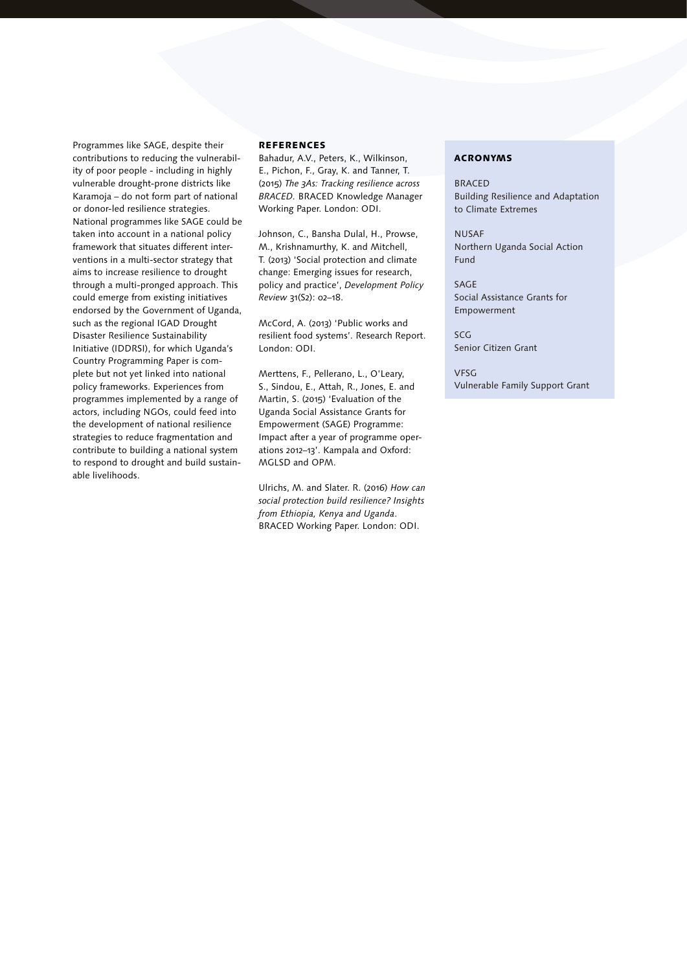Programmes like SAGE, despite their contributions to reducing the vulnerability of poor people - including in highly vulnerable drought-prone districts like Karamoja – do not form part of national or donor-led resilience strategies. National programmes like SAGE could be taken into account in a national policy framework that situates different interventions in a multi-sector strategy that aims to increase resilience to drought through a multi-pronged approach. This could emerge from existing initiatives endorsed by the Government of Uganda, such as the regional IGAD Drought Disaster Resilience Sustainability Initiative (IDDRSI), for which Uganda's Country Programming Paper is complete but not yet linked into national policy frameworks. Experiences from programmes implemented by a range of actors, including NGOs, could feed into the development of national resilience strategies to reduce fragmentation and contribute to building a national system to respond to drought and build sustainable livelihoods.

#### **REFERENCES**

Bahadur, A.V., Peters, K., Wilkinson, E., Pichon, F., Gray, K. and Tanner, T. (2015) *The 3As: Tracking resilience across BRACED.* BRACED Knowledge Manager Working Paper. London: ODI.

Johnson, C., Bansha Dulal, H., Prowse, M., Krishnamurthy, K. and Mitchell, T. (2013) 'Social protection and climate change: Emerging issues for research, policy and practice', *Development Policy Review* 31(S2): o2–18.

McCord, A. (2013) 'Public works and resilient food systems'. Research Report. London: ODI.

Merttens, F., Pellerano, L., O'Leary, S., Sindou, E., Attah, R., Jones, E. and Martin, S. (2015) 'Evaluation of the Uganda Social Assistance Grants for Empowerment (SAGE) Programme: Impact after a year of programme operations 2012–13'. Kampala and Oxford: MGLSD and OPM.

Ulrichs, M. and Slater. R. (2016) *How can social protection build resilience? Insights from Ethiopia, Kenya and Uganda*. BRACED Working Paper. London: ODI.

## ACRONYMS

BRACED Building Resilience and Adaptation to Climate Extremes

NUSAF Northern Uganda Social Action Fund

SAGE Social Assistance Grants for Empowerment

SCG Senior Citizen Grant

VFSG Vulnerable Family Support Grant